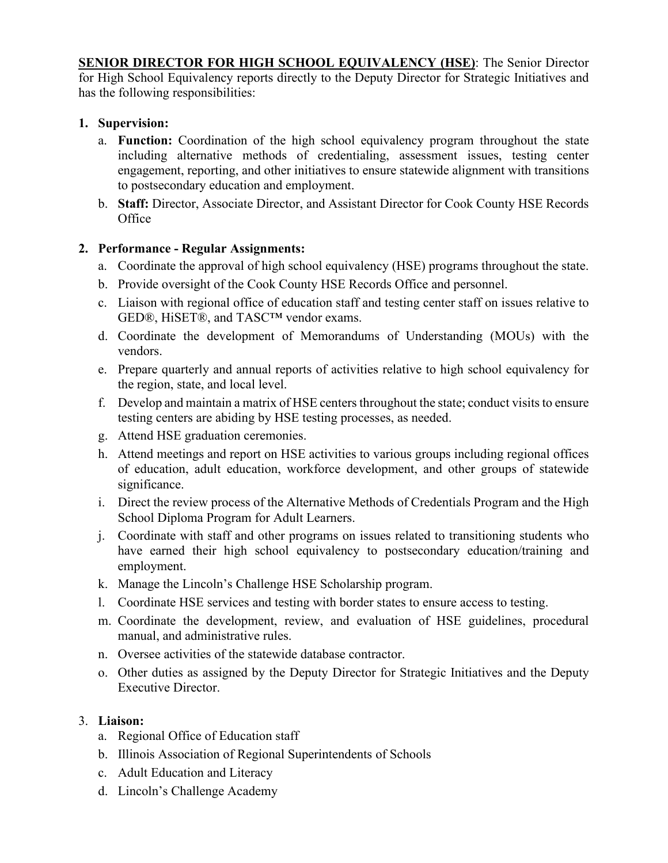**SENIOR DIRECTOR FOR HIGH SCHOOL EQUIVALENCY (HSE)**: The Senior Director for High School Equivalency reports directly to the Deputy Director for Strategic Initiatives and has the following responsibilities:

# **1. Supervision:**

- a. **Function:** Coordination of the high school equivalency program throughout the state including alternative methods of credentialing, assessment issues, testing center engagement, reporting, and other initiatives to ensure statewide alignment with transitions to postsecondary education and employment.
- b. **Staff:** Director, Associate Director, and Assistant Director for Cook County HSE Records **Office**

# **2. Performance - Regular Assignments:**

- a. Coordinate the approval of high school equivalency (HSE) programs throughout the state.
- b. Provide oversight of the Cook County HSE Records Office and personnel.
- c. Liaison with regional office of education staff and testing center staff on issues relative to GED®, HiSET®, and TASC™ vendor exams.
- d. Coordinate the development of Memorandums of Understanding (MOUs) with the vendors.
- e. Prepare quarterly and annual reports of activities relative to high school equivalency for the region, state, and local level.
- f. Develop and maintain a matrix of HSE centersthroughout the state; conduct visits to ensure testing centers are abiding by HSE testing processes, as needed.
- g. Attend HSE graduation ceremonies.
- h. Attend meetings and report on HSE activities to various groups including regional offices of education, adult education, workforce development, and other groups of statewide significance.
- i. Direct the review process of the Alternative Methods of Credentials Program and the High School Diploma Program for Adult Learners.
- j. Coordinate with staff and other programs on issues related to transitioning students who have earned their high school equivalency to postsecondary education/training and employment.
- k. Manage the Lincoln's Challenge HSE Scholarship program.
- l. Coordinate HSE services and testing with border states to ensure access to testing.
- m. Coordinate the development, review, and evaluation of HSE guidelines, procedural manual, and administrative rules.
- n. Oversee activities of the statewide database contractor.
- o. Other duties as assigned by the Deputy Director for Strategic Initiatives and the Deputy Executive Director.

### 3. **Liaison:**

- a. Regional Office of Education staff
- b. Illinois Association of Regional Superintendents of Schools
- c. Adult Education and Literacy
- d. Lincoln's Challenge Academy